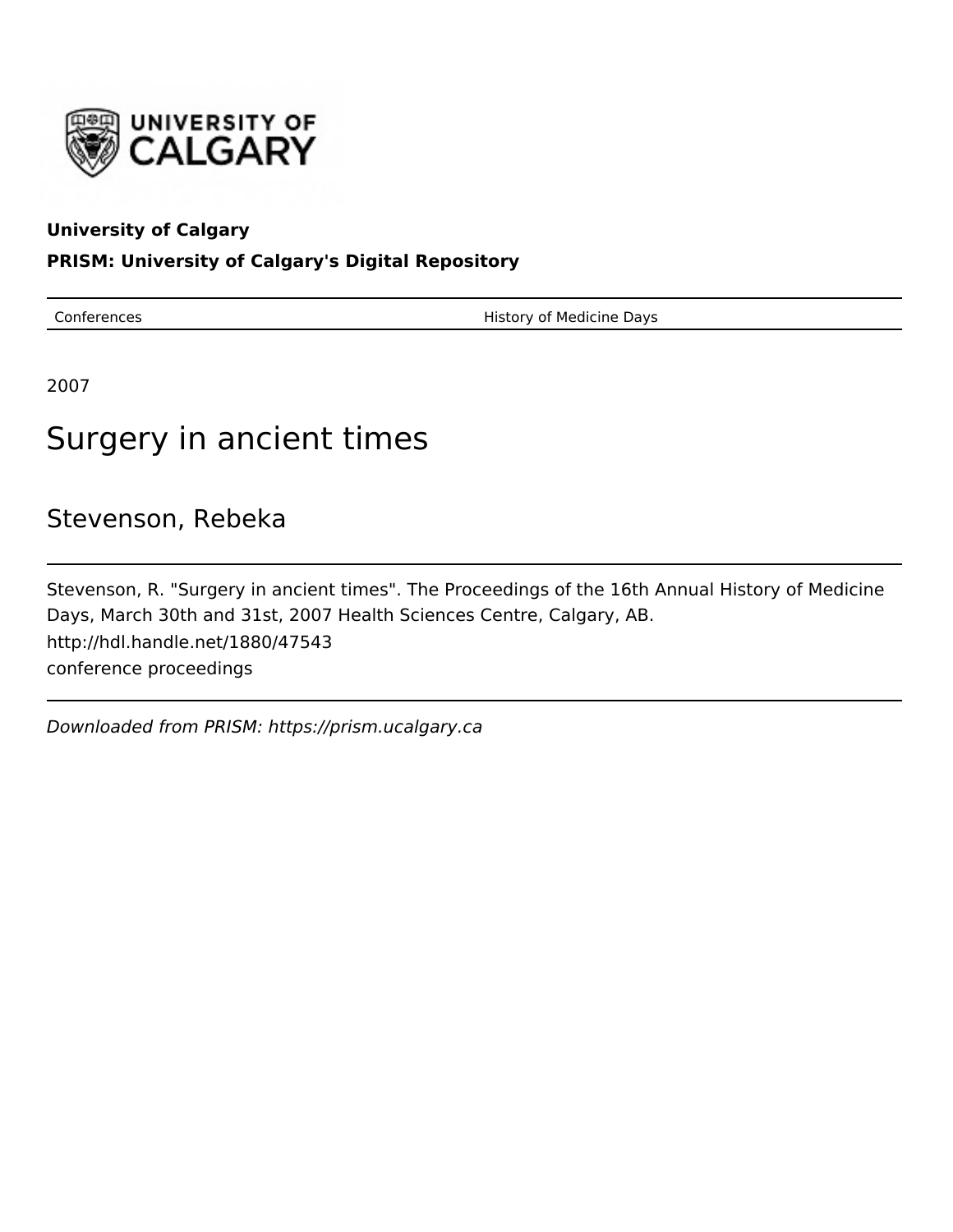

## **University of Calgary**

## **PRISM: University of Calgary's Digital Repository**

Conferences **History of Medicine Days** 

2007

# Surgery in ancient times

# Stevenson, Rebeka

Stevenson, R. "Surgery in ancient times". The Proceedings of the 16th Annual History of Medicine Days, March 30th and 31st, 2007 Health Sciences Centre, Calgary, AB. http://hdl.handle.net/1880/47543 conference proceedings

Downloaded from PRISM: https://prism.ucalgary.ca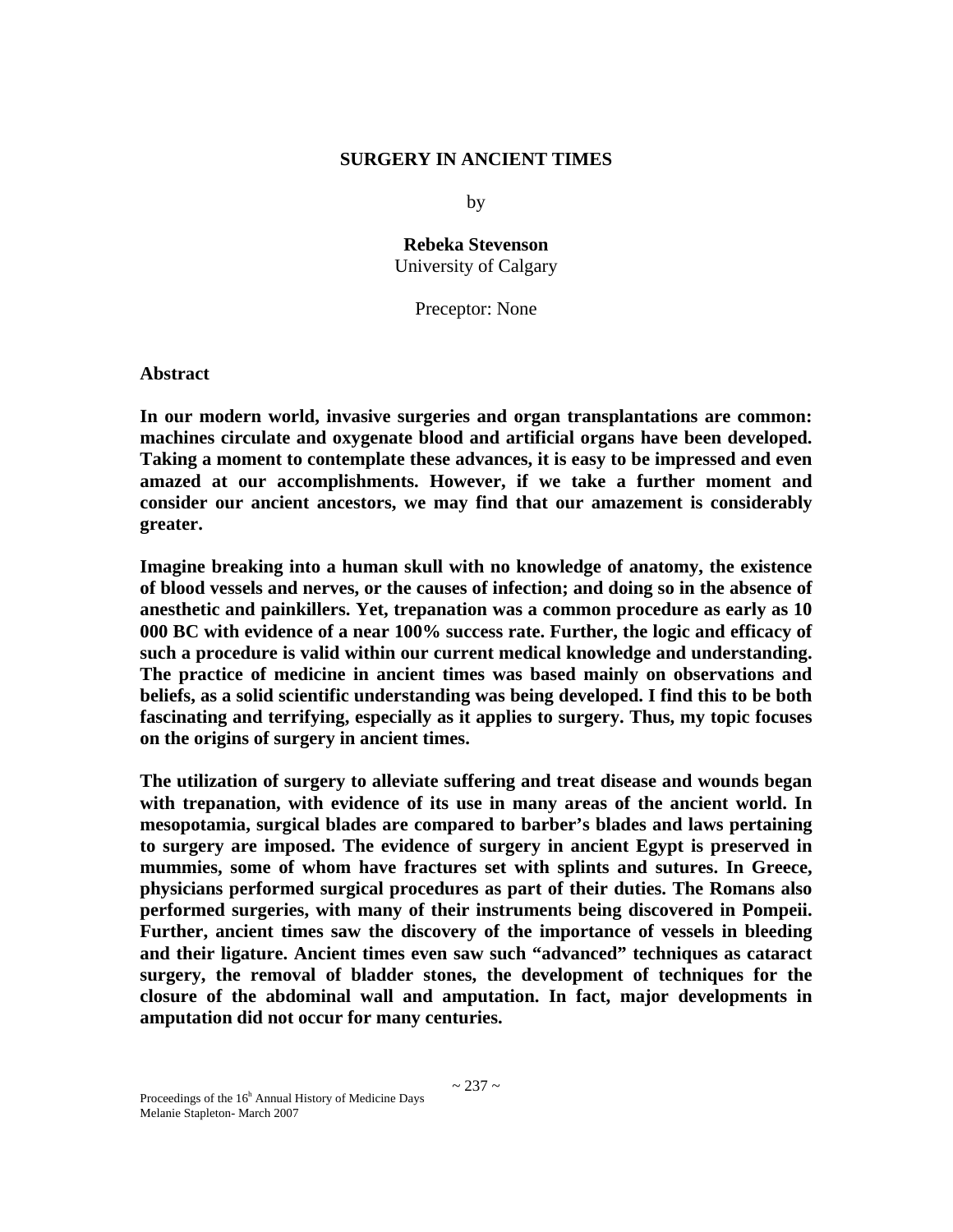### **SURGERY IN ANCIENT TIMES**

by

**Rebeka Stevenson**  University of Calgary

Preceptor: None

**Abstract** 

**In our modern world, invasive surgeries and organ transplantations are common: machines circulate and oxygenate blood and artificial organs have been developed. Taking a moment to contemplate these advances, it is easy to be impressed and even amazed at our accomplishments. However, if we take a further moment and consider our ancient ancestors, we may find that our amazement is considerably greater.** 

**Imagine breaking into a human skull with no knowledge of anatomy, the existence of blood vessels and nerves, or the causes of infection; and doing so in the absence of anesthetic and painkillers. Yet, trepanation was a common procedure as early as 10 000 BC with evidence of a near 100% success rate. Further, the logic and efficacy of such a procedure is valid within our current medical knowledge and understanding. The practice of medicine in ancient times was based mainly on observations and beliefs, as a solid scientific understanding was being developed. I find this to be both fascinating and terrifying, especially as it applies to surgery. Thus, my topic focuses on the origins of surgery in ancient times.** 

**The utilization of surgery to alleviate suffering and treat disease and wounds began with trepanation, with evidence of its use in many areas of the ancient world. In mesopotamia, surgical blades are compared to barber's blades and laws pertaining to surgery are imposed. The evidence of surgery in ancient Egypt is preserved in mummies, some of whom have fractures set with splints and sutures. In Greece, physicians performed surgical procedures as part of their duties. The Romans also performed surgeries, with many of their instruments being discovered in Pompeii. Further, ancient times saw the discovery of the importance of vessels in bleeding and their ligature. Ancient times even saw such "advanced" techniques as cataract surgery, the removal of bladder stones, the development of techniques for the closure of the abdominal wall and amputation. In fact, major developments in amputation did not occur for many centuries.**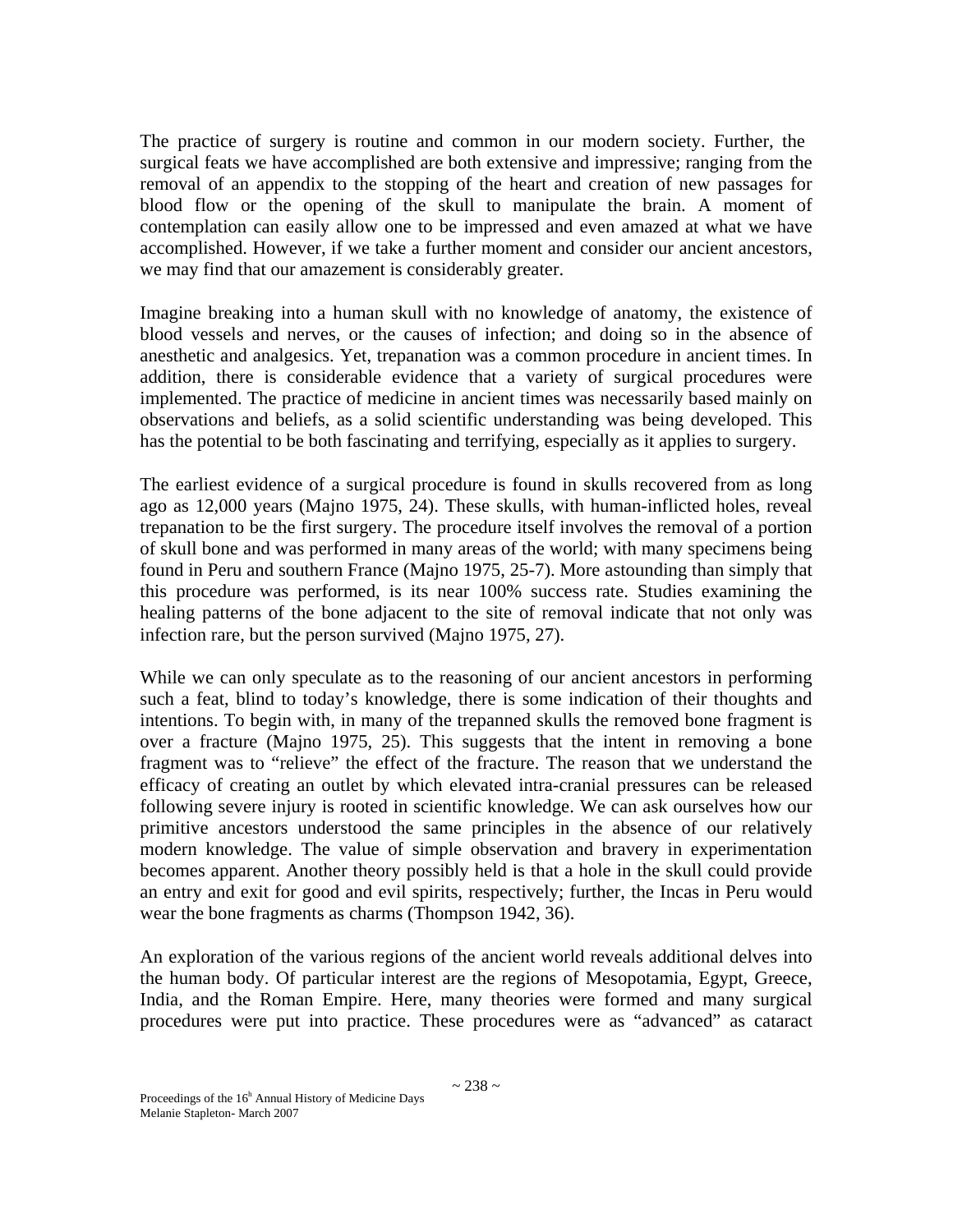The practice of surgery is routine and common in our modern society. Further, the surgical feats we have accomplished are both extensive and impressive; ranging from the removal of an appendix to the stopping of the heart and creation of new passages for blood flow or the opening of the skull to manipulate the brain. A moment of contemplation can easily allow one to be impressed and even amazed at what we have accomplished. However, if we take a further moment and consider our ancient ancestors, we may find that our amazement is considerably greater.

Imagine breaking into a human skull with no knowledge of anatomy, the existence of blood vessels and nerves, or the causes of infection; and doing so in the absence of anesthetic and analgesics. Yet, trepanation was a common procedure in ancient times. In addition, there is considerable evidence that a variety of surgical procedures were implemented. The practice of medicine in ancient times was necessarily based mainly on observations and beliefs, as a solid scientific understanding was being developed. This has the potential to be both fascinating and terrifying, especially as it applies to surgery.

The earliest evidence of a surgical procedure is found in skulls recovered from as long ago as 12,000 years (Majno 1975, 24). These skulls, with human-inflicted holes, reveal trepanation to be the first surgery. The procedure itself involves the removal of a portion of skull bone and was performed in many areas of the world; with many specimens being found in Peru and southern France (Majno 1975, 25-7). More astounding than simply that this procedure was performed, is its near 100% success rate. Studies examining the healing patterns of the bone adjacent to the site of removal indicate that not only was infection rare, but the person survived (Majno 1975, 27).

While we can only speculate as to the reasoning of our ancient ancestors in performing such a feat, blind to today's knowledge, there is some indication of their thoughts and intentions. To begin with, in many of the trepanned skulls the removed bone fragment is over a fracture (Majno 1975, 25). This suggests that the intent in removing a bone fragment was to "relieve" the effect of the fracture. The reason that we understand the efficacy of creating an outlet by which elevated intra-cranial pressures can be released following severe injury is rooted in scientific knowledge. We can ask ourselves how our primitive ancestors understood the same principles in the absence of our relatively modern knowledge. The value of simple observation and bravery in experimentation becomes apparent. Another theory possibly held is that a hole in the skull could provide an entry and exit for good and evil spirits, respectively; further, the Incas in Peru would wear the bone fragments as charms (Thompson 1942, 36).

An exploration of the various regions of the ancient world reveals additional delves into the human body. Of particular interest are the regions of Mesopotamia, Egypt, Greece, India, and the Roman Empire. Here, many theories were formed and many surgical procedures were put into practice. These procedures were as "advanced" as cataract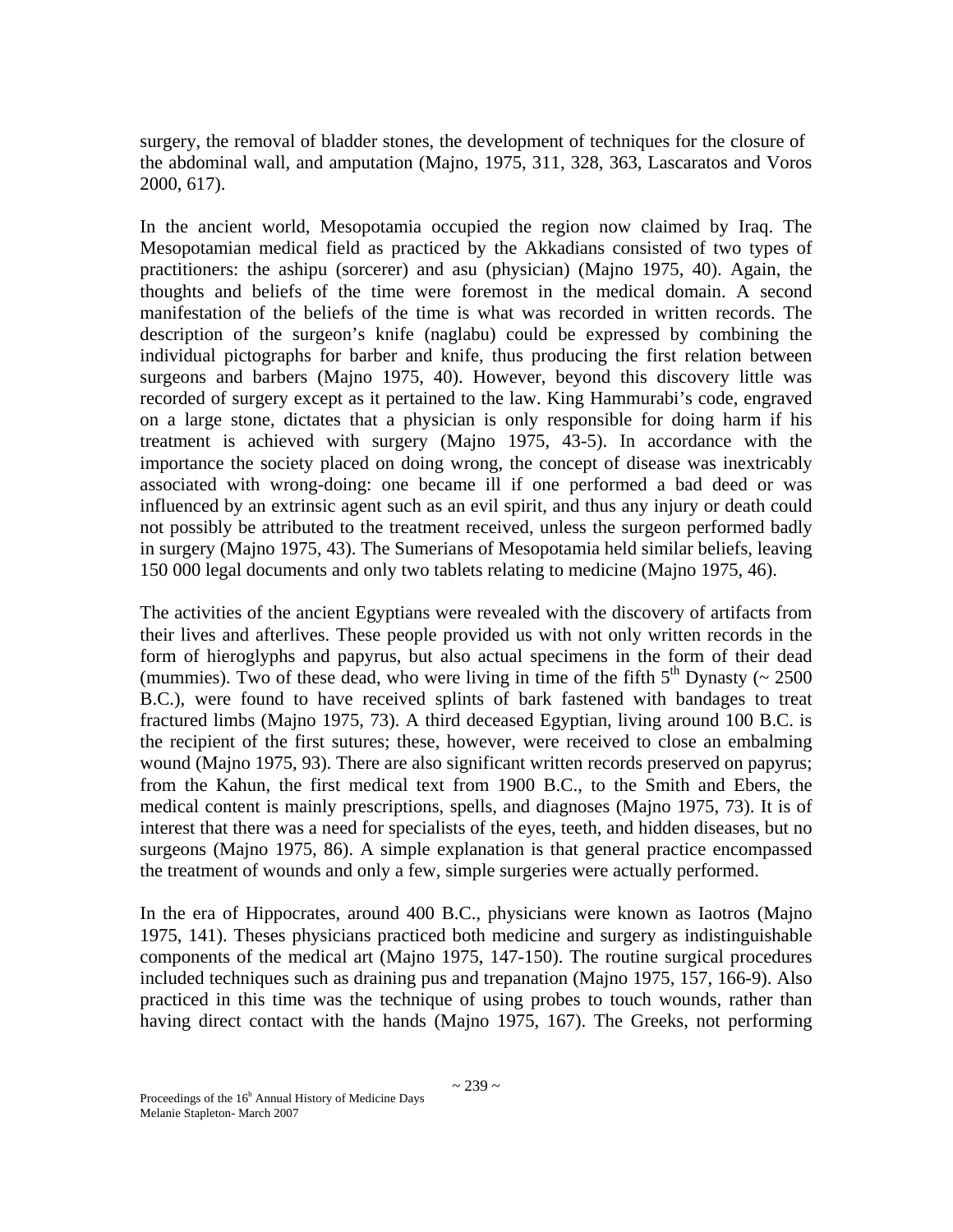surgery, the removal of bladder stones, the development of techniques for the closure of the abdominal wall, and amputation (Majno, 1975, 311, 328, 363, Lascaratos and Voros 2000, 617).

In the ancient world, Mesopotamia occupied the region now claimed by Iraq. The Mesopotamian medical field as practiced by the Akkadians consisted of two types of practitioners: the ashipu (sorcerer) and asu (physician) (Majno 1975, 40). Again, the thoughts and beliefs of the time were foremost in the medical domain. A second manifestation of the beliefs of the time is what was recorded in written records. The description of the surgeon's knife (naglabu) could be expressed by combining the individual pictographs for barber and knife, thus producing the first relation between surgeons and barbers (Majno 1975, 40). However, beyond this discovery little was recorded of surgery except as it pertained to the law. King Hammurabi's code, engraved on a large stone, dictates that a physician is only responsible for doing harm if his treatment is achieved with surgery (Majno 1975, 43-5). In accordance with the importance the society placed on doing wrong, the concept of disease was inextricably associated with wrong-doing: one became ill if one performed a bad deed or was influenced by an extrinsic agent such as an evil spirit, and thus any injury or death could not possibly be attributed to the treatment received, unless the surgeon performed badly in surgery (Majno 1975, 43). The Sumerians of Mesopotamia held similar beliefs, leaving 150 000 legal documents and only two tablets relating to medicine (Majno 1975, 46).

The activities of the ancient Egyptians were revealed with the discovery of artifacts from their lives and afterlives. These people provided us with not only written records in the form of hieroglyphs and papyrus, but also actual specimens in the form of their dead (mummies). Two of these dead, who were living in time of the fifth  $5<sup>th</sup>$  Dynasty (~ 2500) B.C.), were found to have received splints of bark fastened with bandages to treat fractured limbs (Majno 1975, 73). A third deceased Egyptian, living around 100 B.C. is the recipient of the first sutures; these, however, were received to close an embalming wound (Majno 1975, 93). There are also significant written records preserved on papyrus; from the Kahun, the first medical text from 1900 B.C., to the Smith and Ebers, the medical content is mainly prescriptions, spells, and diagnoses (Majno 1975, 73). It is of interest that there was a need for specialists of the eyes, teeth, and hidden diseases, but no surgeons (Majno 1975, 86). A simple explanation is that general practice encompassed the treatment of wounds and only a few, simple surgeries were actually performed.

In the era of Hippocrates, around 400 B.C., physicians were known as Iaotros (Majno 1975, 141). Theses physicians practiced both medicine and surgery as indistinguishable components of the medical art (Majno 1975, 147-150). The routine surgical procedures included techniques such as draining pus and trepanation (Majno 1975, 157, 166-9). Also practiced in this time was the technique of using probes to touch wounds, rather than having direct contact with the hands (Majno 1975, 167). The Greeks, not performing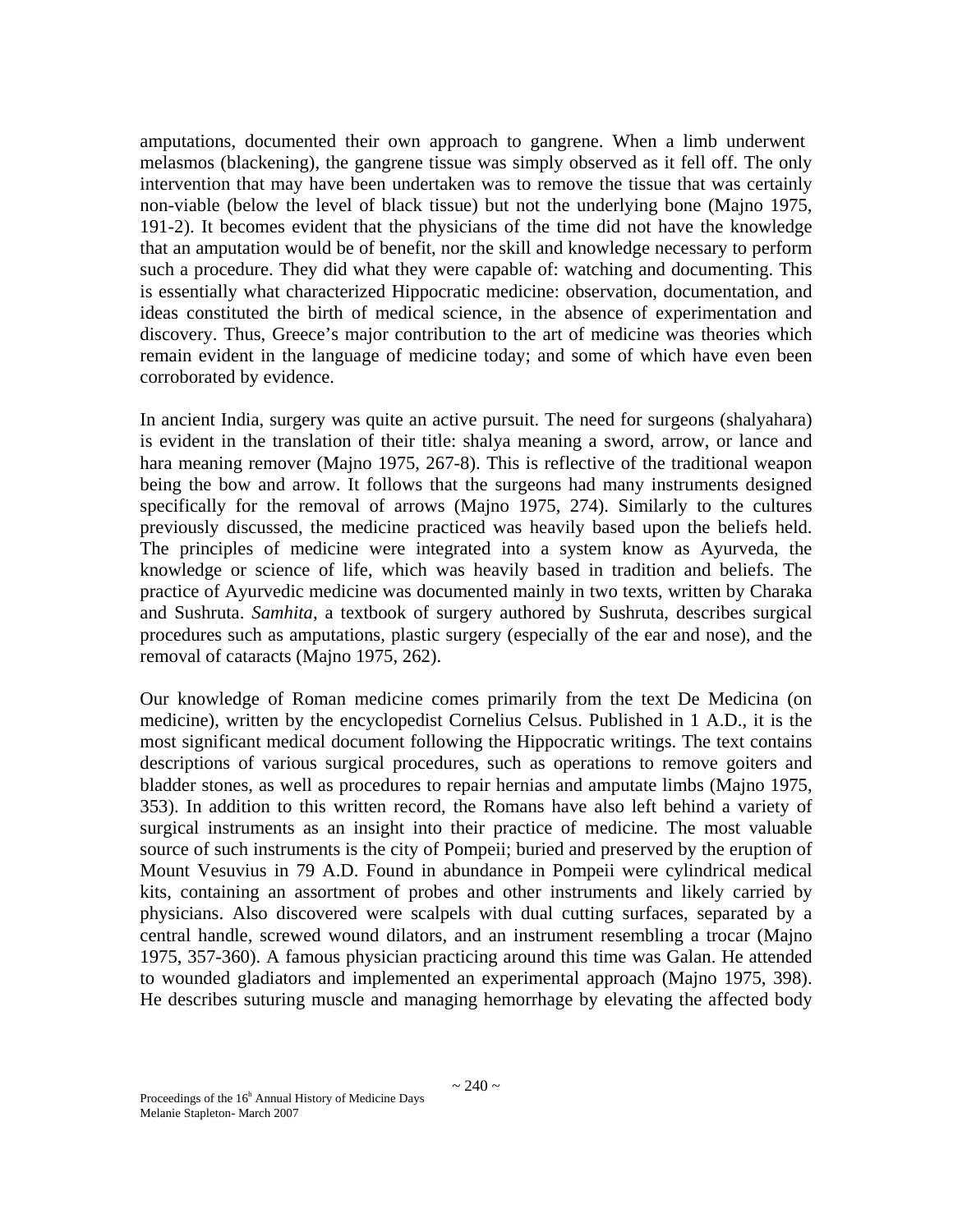amputations, documented their own approach to gangrene. When a limb underwent melasmos (blackening), the gangrene tissue was simply observed as it fell off. The only intervention that may have been undertaken was to remove the tissue that was certainly non-viable (below the level of black tissue) but not the underlying bone (Majno 1975, 191-2). It becomes evident that the physicians of the time did not have the knowledge that an amputation would be of benefit, nor the skill and knowledge necessary to perform such a procedure. They did what they were capable of: watching and documenting. This is essentially what characterized Hippocratic medicine: observation, documentation, and ideas constituted the birth of medical science, in the absence of experimentation and discovery. Thus, Greece's major contribution to the art of medicine was theories which remain evident in the language of medicine today; and some of which have even been corroborated by evidence.

In ancient India, surgery was quite an active pursuit. The need for surgeons (shalyahara) is evident in the translation of their title: shalya meaning a sword, arrow, or lance and hara meaning remover (Majno 1975, 267-8). This is reflective of the traditional weapon being the bow and arrow. It follows that the surgeons had many instruments designed specifically for the removal of arrows (Majno 1975, 274). Similarly to the cultures previously discussed, the medicine practiced was heavily based upon the beliefs held. The principles of medicine were integrated into a system know as Ayurveda, the knowledge or science of life, which was heavily based in tradition and beliefs. The practice of Ayurvedic medicine was documented mainly in two texts, written by Charaka and Sushruta. *Samhita*, a textbook of surgery authored by Sushruta, describes surgical procedures such as amputations, plastic surgery (especially of the ear and nose), and the removal of cataracts (Majno 1975, 262).

Our knowledge of Roman medicine comes primarily from the text De Medicina (on medicine), written by the encyclopedist Cornelius Celsus. Published in 1 A.D., it is the most significant medical document following the Hippocratic writings. The text contains descriptions of various surgical procedures, such as operations to remove goiters and bladder stones, as well as procedures to repair hernias and amputate limbs (Majno 1975, 353). In addition to this written record, the Romans have also left behind a variety of surgical instruments as an insight into their practice of medicine. The most valuable source of such instruments is the city of Pompeii; buried and preserved by the eruption of Mount Vesuvius in 79 A.D. Found in abundance in Pompeii were cylindrical medical kits, containing an assortment of probes and other instruments and likely carried by physicians. Also discovered were scalpels with dual cutting surfaces, separated by a central handle, screwed wound dilators, and an instrument resembling a trocar (Majno 1975, 357-360). A famous physician practicing around this time was Galan. He attended to wounded gladiators and implemented an experimental approach (Majno 1975, 398). He describes suturing muscle and managing hemorrhage by elevating the affected body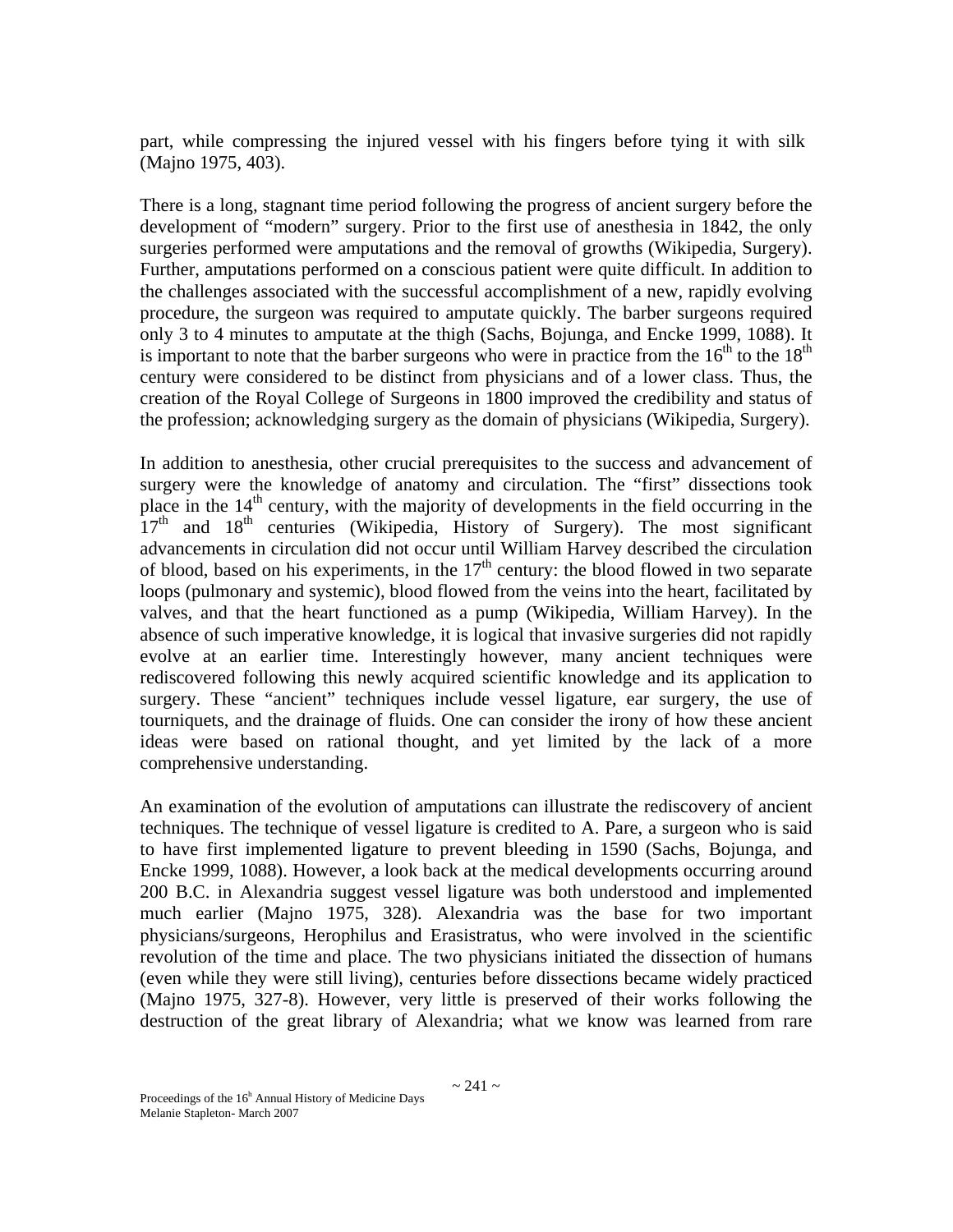part, while compressing the injured vessel with his fingers before tying it with silk (Majno 1975, 403).

There is a long, stagnant time period following the progress of ancient surgery before the development of "modern" surgery. Prior to the first use of anesthesia in 1842, the only surgeries performed were amputations and the removal of growths (Wikipedia, Surgery). Further, amputations performed on a conscious patient were quite difficult. In addition to the challenges associated with the successful accomplishment of a new, rapidly evolving procedure, the surgeon was required to amputate quickly. The barber surgeons required only 3 to 4 minutes to amputate at the thigh (Sachs, Bojunga, and Encke 1999, 1088). It is important to note that the barber surgeons who were in practice from the  $16<sup>th</sup>$  to the  $18<sup>th</sup>$ century were considered to be distinct from physicians and of a lower class. Thus, the creation of the Royal College of Surgeons in 1800 improved the credibility and status of the profession; acknowledging surgery as the domain of physicians (Wikipedia, Surgery).

In addition to anesthesia, other crucial prerequisites to the success and advancement of surgery were the knowledge of anatomy and circulation. The "first" dissections took place in the  $14<sup>th</sup>$  century, with the majority of developments in the field occurring in the  $17<sup>th</sup>$  and  $18<sup>th</sup>$  centuries (Wikipedia, History of Surgery). The most significant advancements in circulation did not occur until William Harvey described the circulation of blood, based on his experiments, in the  $17<sup>th</sup>$  century: the blood flowed in two separate loops (pulmonary and systemic), blood flowed from the veins into the heart, facilitated by valves, and that the heart functioned as a pump (Wikipedia, William Harvey). In the absence of such imperative knowledge, it is logical that invasive surgeries did not rapidly evolve at an earlier time. Interestingly however, many ancient techniques were rediscovered following this newly acquired scientific knowledge and its application to surgery. These "ancient" techniques include vessel ligature, ear surgery, the use of tourniquets, and the drainage of fluids. One can consider the irony of how these ancient ideas were based on rational thought, and yet limited by the lack of a more comprehensive understanding.

An examination of the evolution of amputations can illustrate the rediscovery of ancient techniques. The technique of vessel ligature is credited to A. Pare, a surgeon who is said to have first implemented ligature to prevent bleeding in 1590 (Sachs, Bojunga, and Encke 1999, 1088). However, a look back at the medical developments occurring around 200 B.C. in Alexandria suggest vessel ligature was both understood and implemented much earlier (Majno 1975, 328). Alexandria was the base for two important physicians/surgeons, Herophilus and Erasistratus, who were involved in the scientific revolution of the time and place. The two physicians initiated the dissection of humans (even while they were still living), centuries before dissections became widely practiced (Majno 1975, 327-8). However, very little is preserved of their works following the destruction of the great library of Alexandria; what we know was learned from rare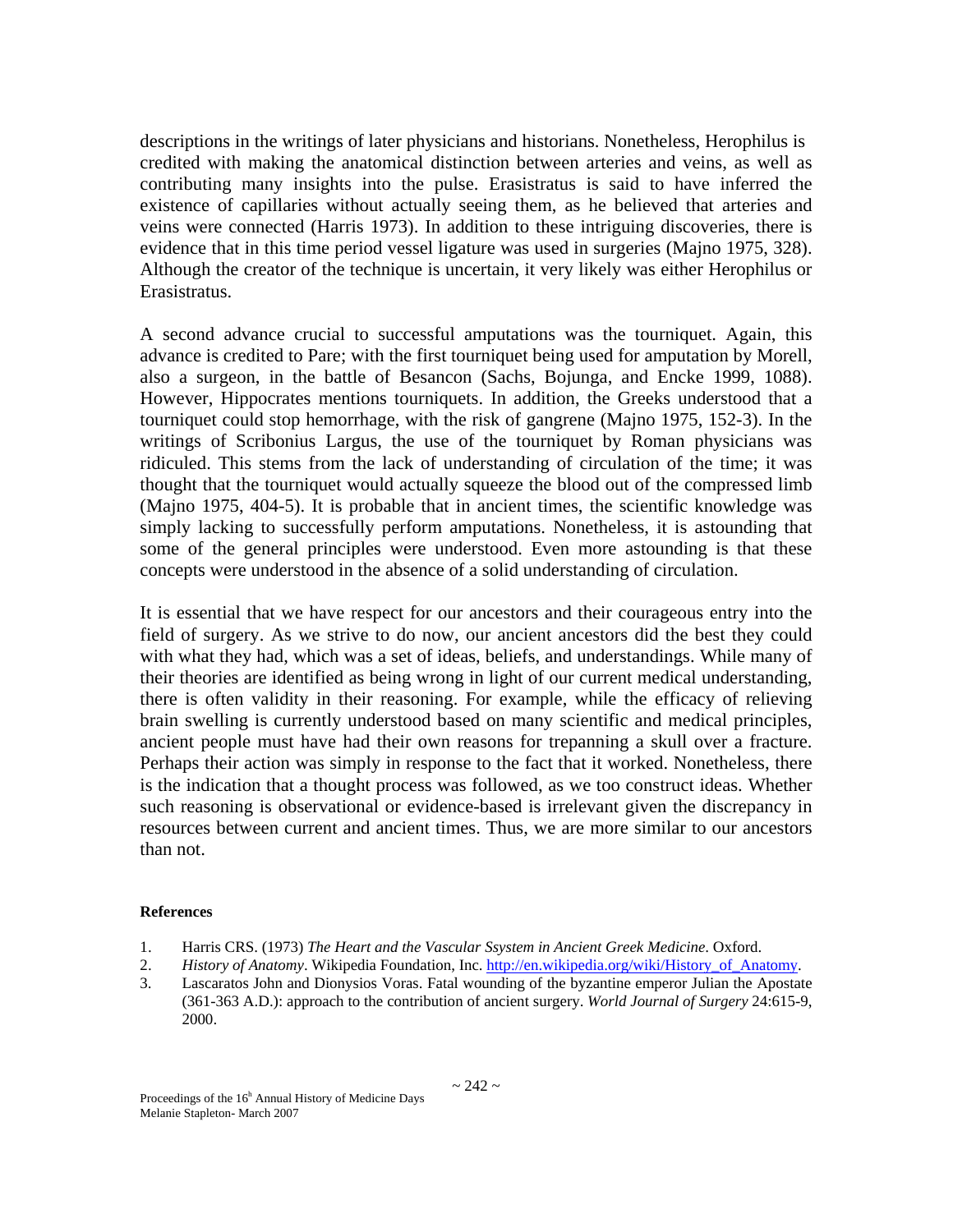descriptions in the writings of later physicians and historians. Nonetheless, Herophilus is credited with making the anatomical distinction between arteries and veins, as well as contributing many insights into the pulse. Erasistratus is said to have inferred the existence of capillaries without actually seeing them, as he believed that arteries and veins were connected (Harris 1973). In addition to these intriguing discoveries, there is evidence that in this time period vessel ligature was used in surgeries (Majno 1975, 328). Although the creator of the technique is uncertain, it very likely was either Herophilus or Erasistratus.

A second advance crucial to successful amputations was the tourniquet. Again, this advance is credited to Pare; with the first tourniquet being used for amputation by Morell, also a surgeon, in the battle of Besancon (Sachs, Bojunga, and Encke 1999, 1088). However, Hippocrates mentions tourniquets. In addition, the Greeks understood that a tourniquet could stop hemorrhage, with the risk of gangrene (Majno 1975, 152-3). In the writings of Scribonius Largus, the use of the tourniquet by Roman physicians was ridiculed. This stems from the lack of understanding of circulation of the time; it was thought that the tourniquet would actually squeeze the blood out of the compressed limb (Majno 1975, 404-5). It is probable that in ancient times, the scientific knowledge was simply lacking to successfully perform amputations. Nonetheless, it is astounding that some of the general principles were understood. Even more astounding is that these concepts were understood in the absence of a solid understanding of circulation.

It is essential that we have respect for our ancestors and their courageous entry into the field of surgery. As we strive to do now, our ancient ancestors did the best they could with what they had, which was a set of ideas, beliefs, and understandings. While many of their theories are identified as being wrong in light of our current medical understanding, there is often validity in their reasoning. For example, while the efficacy of relieving brain swelling is currently understood based on many scientific and medical principles, ancient people must have had their own reasons for trepanning a skull over a fracture. Perhaps their action was simply in response to the fact that it worked. Nonetheless, there is the indication that a thought process was followed, as we too construct ideas. Whether such reasoning is observational or evidence-based is irrelevant given the discrepancy in resources between current and ancient times. Thus, we are more similar to our ancestors than not.

### **References**

- 1. Harris CRS. (1973) *The Heart and the Vascular Ssystem in Ancient Greek Medicine*. Oxford.
- 2. *History of Anatomy*. Wikipedia Foundation, Inc. http://en.wikipedia.org/wiki/History\_of\_Anatomy.
- 3. Lascaratos John and Dionysios Voras. Fatal wounding of the byzantine emperor Julian the Apostate (361-363 A.D.): approach to the contribution of ancient surgery. *World Journal of Surgery* 24:615-9, 2000.